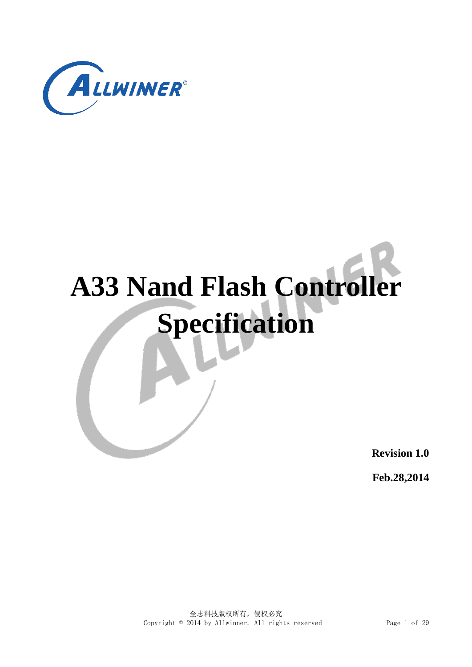

# **A33 Nand Flash Controller Specification**

**Revision 1.0**

**Feb.28,2014**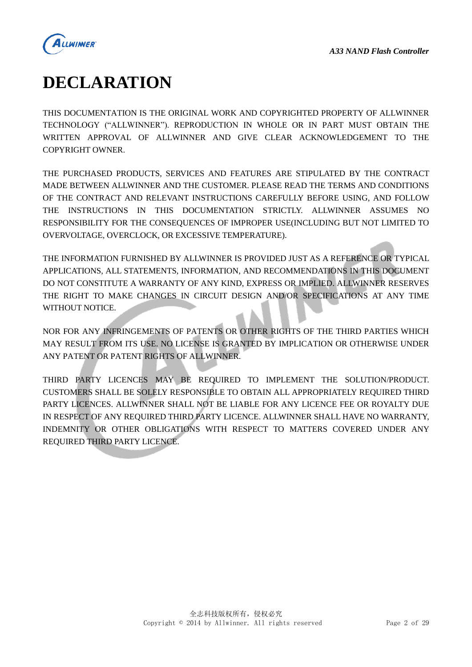

# <span id="page-1-0"></span>**DECLARATION**

THIS DOCUMENTATION IS THE ORIGINAL WORK AND COPYRIGHTED PROPERTY OF ALLWINNER TECHNOLOGY ("ALLWINNER"). REPRODUCTION IN WHOLE OR IN PART MUST OBTAIN THE WRITTEN APPROVAL OF ALLWINNER AND GIVE CLEAR ACKNOWLEDGEMENT TO THE COPYRIGHT OWNER.

THE PURCHASED PRODUCTS, SERVICES AND FEATURES ARE STIPULATED BY THE CONTRACT MADE BETWEEN ALLWINNER AND THE CUSTOMER. PLEASE READ THE TERMS AND CONDITIONS OF THE CONTRACT AND RELEVANT INSTRUCTIONS CAREFULLY BEFORE USING, AND FOLLOW THE INSTRUCTIONS IN THIS DOCUMENTATION STRICTLY. ALLWINNER ASSUMES NO RESPONSIBILITY FOR THE CONSEQUENCES OF IMPROPER USE(INCLUDING BUT NOT LIMITED TO OVERVOLTAGE, OVERCLOCK, OR EXCESSIVE TEMPERATURE).

THE INFORMATION FURNISHED BY ALLWINNER IS PROVIDED JUST AS A REFERENCE OR TYPICAL APPLICATIONS, ALL STATEMENTS, INFORMATION, AND RECOMMENDATIONS IN THIS DOCUMENT DO NOT CONSTITUTE A WARRANTY OF ANY KIND, EXPRESS OR IMPLIED. ALLWINNER RESERVES THE RIGHT TO MAKE CHANGES IN CIRCUIT DESIGN AND/OR SPECIFICATIONS AT ANY TIME WITHOUT NOTICE.

NOR FOR ANY INFRINGEMENTS OF PATENTS OR OTHER RIGHTS OF THE THIRD PARTIES WHICH MAY RESULT FROM ITS USE. NO LICENSE IS GRANTED BY IMPLICATION OR OTHERWISE UNDER ANY PATENT OR PATENT RIGHTS OF ALLWINNER.

THIRD PARTY LICENCES MAY BE REQUIRED TO IMPLEMENT THE SOLUTION/PRODUCT. CUSTOMERS SHALL BE SOLELY RESPONSIBLE TO OBTAIN ALL APPROPRIATELY REQUIRED THIRD PARTY LICENCES. ALLWINNER SHALL NOT BE LIABLE FOR ANY LICENCE FEE OR ROYALTY DUE IN RESPECT OF ANY REQUIRED THIRD PARTY LICENCE. ALLWINNER SHALL HAVE NO WARRANTY, INDEMNITY OR OTHER OBLIGATIONS WITH RESPECT TO MATTERS COVERED UNDER ANY REQUIRED THIRD PARTY LICENCE.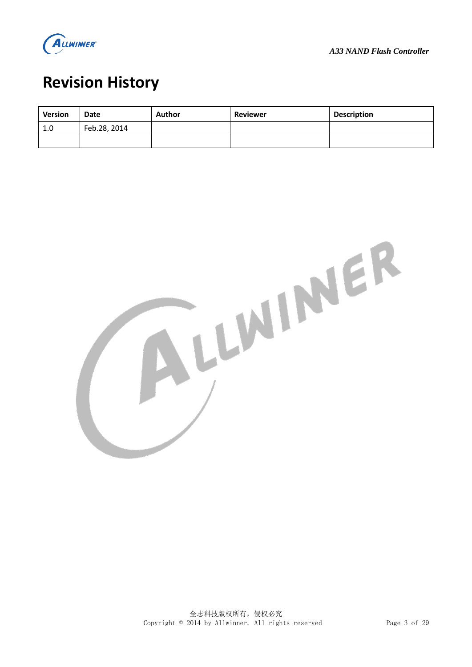

# <span id="page-2-0"></span>**Revision History**

| <b>Version</b> | Date         | Author | <b>Reviewer</b> | <b>Description</b> |
|----------------|--------------|--------|-----------------|--------------------|
| 1.0            | Feb.28, 2014 |        |                 |                    |
|                |              |        |                 |                    |

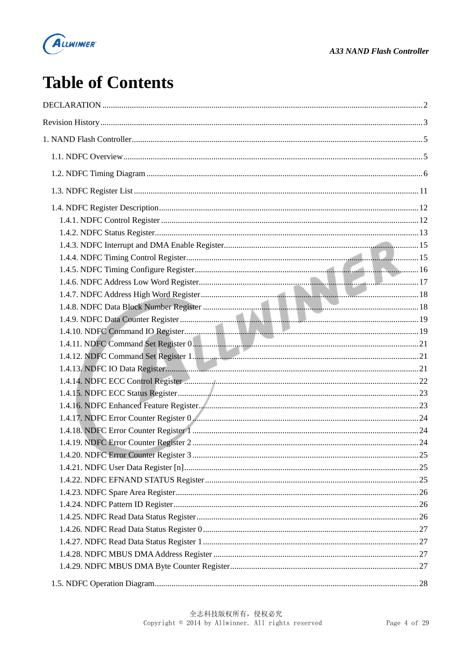

# **Table of Contents**

| .25 |
|-----|
|     |
|     |
|     |
|     |
|     |
|     |
|     |
|     |
|     |
|     |
|     |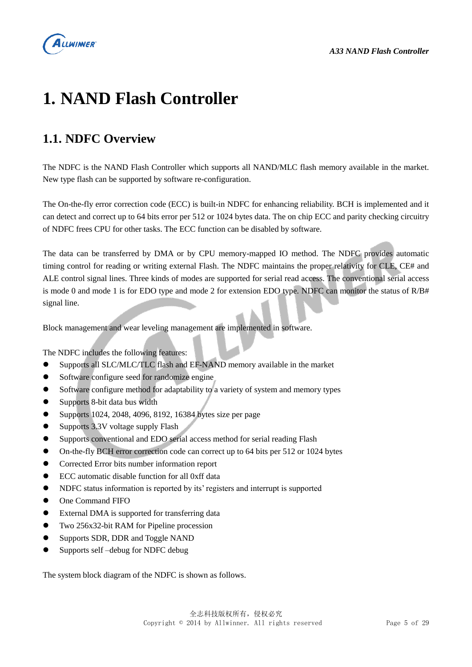

# <span id="page-4-0"></span>**1. NAND Flash Controller**

## <span id="page-4-1"></span>**1.1. NDFC Overview**

The NDFC is the NAND Flash Controller which supports all NAND/MLC flash memory available in the market. New type flash can be supported by software re-configuration.

The On-the-fly error correction code (ECC) is built-in NDFC for enhancing reliability. BCH is implemented and it can detect and correct up to 64 bits error per 512 or 1024 bytes data. The on chip ECC and parity checking circuitry of NDFC frees CPU for other tasks. The ECC function can be disabled by software.

The data can be transferred by DMA or by CPU memory-mapped IO method. The NDFC provides automatic timing control for reading or writing external Flash. The NDFC maintains the proper relativity for CLE, CE# and ALE control signal lines. Three kinds of modes are supported for serial read access. The conventional serial access is mode 0 and mode 1 is for EDO type and mode 2 for extension EDO type. NDFC can monitor the status of R/B# signal line.

Block management and wear leveling management are implemented in software.

The NDFC includes the following features:

- Supports all SLC/MLC/TLC flash and EF-NAND memory available in the market
- Software configure seed for randomize engine
- Software configure method for adaptability to a variety of system and memory types
- Supports 8-bit data bus width
- $\bullet$  Supports 1024, 2048, 4096, 8192, 16384 bytes size per page
- Supports 3.3V voltage supply Flash
- Supports conventional and EDO serial access method for serial reading Flash
- On-the-fly BCH error correction code can correct up to 64 bits per 512 or 1024 bytes
- Corrected Error bits number information report
- ECC automatic disable function for all 0xff data
- NDFC status information is reported by its' registers and interrupt is supported
- One Command FIFO
- External DMA is supported for transferring data
- Two 256x32-bit RAM for Pipeline procession
- Supports SDR, DDR and Toggle NAND
- Supports self –debug for NDFC debug

The system block diagram of the NDFC is shown as follows.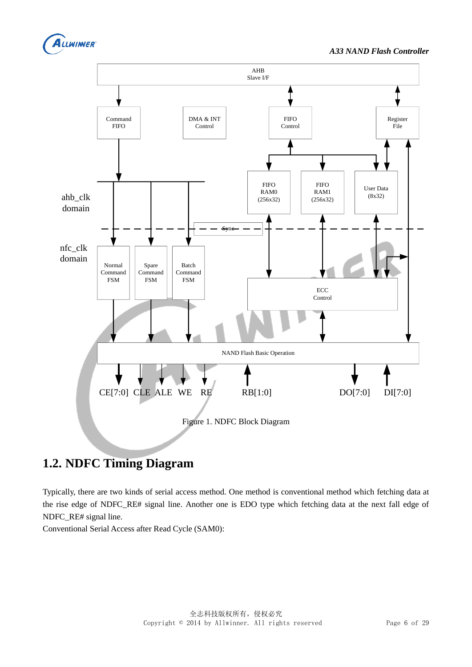



# <span id="page-5-0"></span>**1.2. NDFC Timing Diagram**

Typically, there are two kinds of serial access method. One method is conventional method which fetching data at the rise edge of NDFC\_RE# signal line. Another one is EDO type which fetching data at the next fall edge of NDFC\_RE# signal line.

Conventional Serial Access after Read Cycle (SAM0):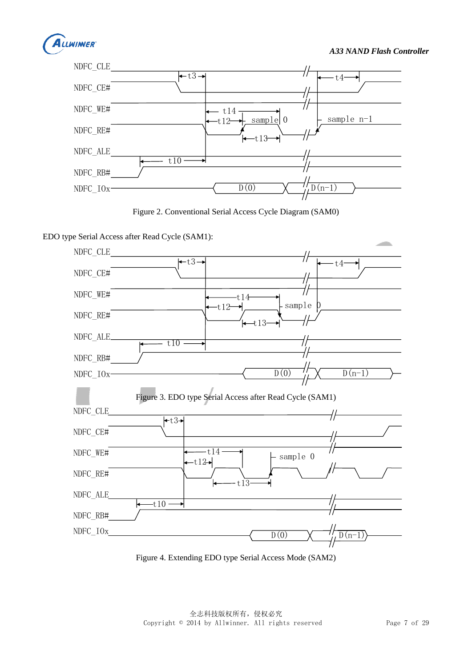



Figure 2. Conventional Serial Access Cycle Diagram (SAM0)

EDO type Serial Access after Read Cycle (SAM1): NDFC\_CLE



Figure 4. Extending EDO type Serial Access Mode (SAM2)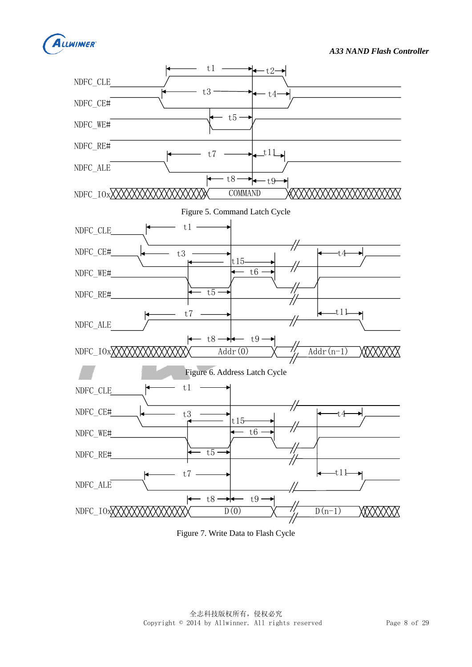



Figure 7. Write Data to Flash Cycle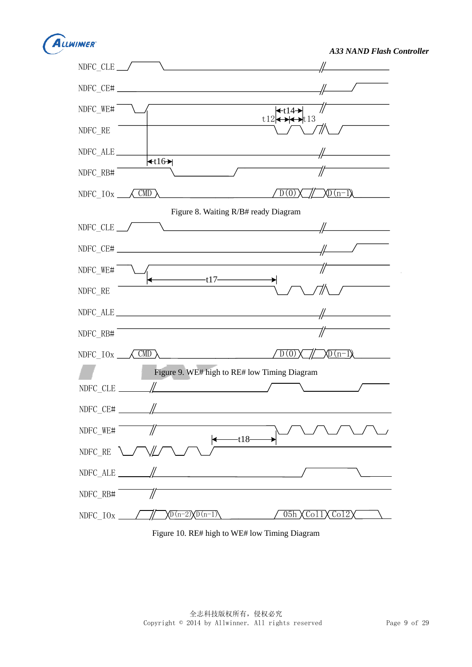

*A33 NAND Flash Controller*



Figure 10. RE# high to WE# low Timing Diagram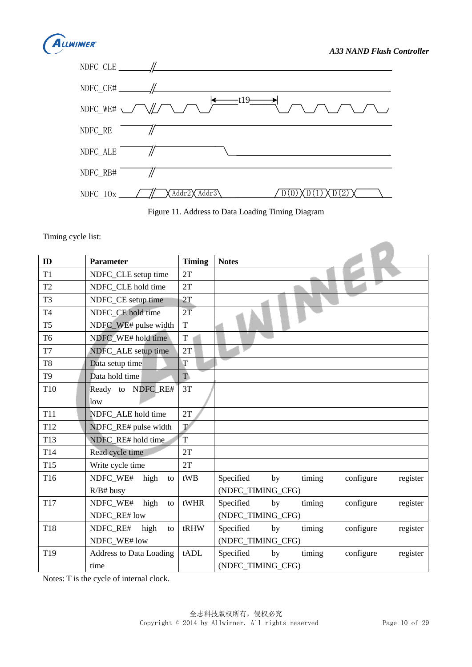

 $\overline{\phantom{a}}$ 



Figure 11. Address to Data Loading Timing Diagram

Timing cycle list:

| ID              | <b>Parameter</b>               | <b>Timing</b>   | <b>Notes</b>                                       |
|-----------------|--------------------------------|-----------------|----------------------------------------------------|
| T1              | NDFC_CLE setup time            | 2T              |                                                    |
| T <sub>2</sub>  | NDFC_CLE hold time             | 2T              |                                                    |
| T <sub>3</sub>  | NDFC_CE setup time             | 2T              |                                                    |
| T <sub>4</sub>  | NDFC CE hold time              | $2\overline{T}$ |                                                    |
| T <sub>5</sub>  | NDFC_WE# pulse width           | T               |                                                    |
| T <sub>6</sub>  | NDFC WE# hold time             | $\mathbf T$     |                                                    |
| T7              | NDFC_ALE setup time            | 2T              |                                                    |
| T <sub>8</sub>  | Data setup time                | T               |                                                    |
| T <sub>9</sub>  | Data hold time                 | T.              |                                                    |
| T10             | Ready to NDFC RE#<br>low       | 3T              |                                                    |
| <b>T11</b>      | NDFC ALE hold time             | 2T              |                                                    |
| T <sub>12</sub> | NDFC_RE# pulse width           | $\mathbf T$     |                                                    |
| T <sub>13</sub> | NDFC RE# hold time             | T               |                                                    |
| T14             | Read cycle time                | 2T              |                                                    |
| T <sub>15</sub> | Write cycle time               | 2T              |                                                    |
| T16             | NDFC_WE#<br>high<br>to         | tWB             | timing<br>Specified<br>by<br>configure<br>register |
|                 | $R/B#$ busy                    |                 | (NDFC_TIMING_CFG)                                  |
| T17             | NDFC_WE#<br>high<br>to         | tWHR            | Specified<br>timing<br>by<br>configure<br>register |
|                 | NDFC RE# low                   |                 | (NDFC_TIMING_CFG)                                  |
| T18             | NDFC_RE#<br>high<br>to         | tRHW            | Specified<br>by<br>timing<br>configure<br>register |
|                 | NDFC WE# low                   |                 | (NDFC_TIMING_CFG)                                  |
| T19             | <b>Address to Data Loading</b> | tADL            | Specified<br>by<br>configure<br>timing<br>register |
|                 | time                           |                 | (NDFC_TIMING_CFG)                                  |

Notes: T is the cycle of internal clock.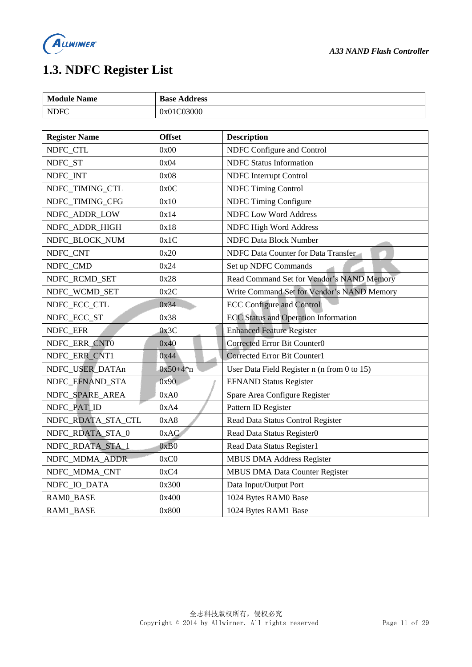

# <span id="page-10-0"></span>**1.3. NDFC Register List**

| <b>Module Name</b>   | <b>Base Address</b> |                                             |
|----------------------|---------------------|---------------------------------------------|
| <b>NDFC</b>          | 0x01C03000          |                                             |
|                      |                     |                                             |
| <b>Register Name</b> | <b>Offset</b>       | <b>Description</b>                          |
| NDFC_CTL             | 0x00                | NDFC Configure and Control                  |
| NDFC_ST              | 0x04                | <b>NDFC</b> Status Information              |
| NDFC_INT             | 0x08                | <b>NDFC</b> Interrupt Control               |
| NDFC_TIMING_CTL      | 0x0C                | <b>NDFC Timing Control</b>                  |
| NDFC_TIMING_CFG      | 0x10                | NDFC Timing Configure                       |
| NDFC_ADDR_LOW        | 0x14                | <b>NDFC Low Word Address</b>                |
| NDFC_ADDR_HIGH       | 0x18                | NDFC High Word Address                      |
| NDFC_BLOCK_NUM       | 0x1C                | <b>NDFC Data Block Number</b>               |
| NDFC_CNT             | 0x20                | NDFC Data Counter for Data Transfer         |
| NDFC_CMD             | 0x24                | Set up NDFC Commands                        |
| NDFC_RCMD_SET        | 0x28                | Read Command Set for Vendor's NAND Memory   |
| NDFC_WCMD_SET        | 0x2C                | Write Command Set for Vendor's NAND Memory  |
| NDFC_ECC_CTL         | 0x34                | <b>ECC Configure and Control</b>            |
| NDFC_ECC_ST          | 0x38                | <b>ECC</b> Status and Operation Information |
| NDFC_EFR             | 0x3C                | <b>Enhanced Feature Register</b>            |
| NDFC_ERR_CNT0        | 0x40                | Corrected Error Bit Counter0                |
| NDFC_ERR_CNT1        | 0x44                | Corrected Error Bit Counter1                |
| NDFC_USER_DATAn      | $0x50+4*n$          | User Data Field Register n (n from 0 to 15) |
| NDFC_EFNAND_STA      | 0x90                | <b>EFNAND Status Register</b>               |
| NDFC_SPARE_AREA      | 0xA0                | Spare Area Configure Register               |
| NDFC_PAT_ID          | 0xA4                | Pattern ID Register                         |
| NDFC_RDATA_STA_CTL   | 0xA8                | Read Data Status Control Register           |
| NDFC_RDATA_STA_0     | 0xAC                | Read Data Status Register0                  |
| NDFC_RDATA_STA_1     | 0xB0                | Read Data Status Register1                  |
| NDFC_MDMA_ADDR       | 0xC0                | <b>MBUS DMA Address Register</b>            |
| NDFC_MDMA_CNT        | 0xC4                | <b>MBUS DMA Data Counter Register</b>       |
| NDFC_IO_DATA         | 0x300               | Data Input/Output Port                      |
| RAM0_BASE            | 0x400               | 1024 Bytes RAM0 Base                        |
| RAM1_BASE            | 0x800               | 1024 Bytes RAM1 Base                        |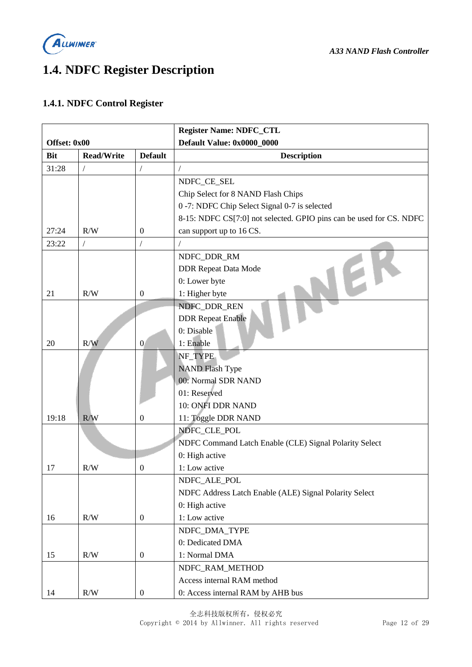

# <span id="page-11-0"></span>**1.4. NDFC Register Description**

#### <span id="page-11-1"></span>**1.4.1. NDFC Control Register**

|              |                   |                  | <b>Register Name: NDFC_CTL</b>                                      |
|--------------|-------------------|------------------|---------------------------------------------------------------------|
| Offset: 0x00 |                   |                  | Default Value: 0x0000_0000                                          |
| <b>Bit</b>   | <b>Read/Write</b> | <b>Default</b>   | <b>Description</b>                                                  |
| 31:28        | $\overline{ }$    |                  |                                                                     |
|              |                   |                  | NDFC_CE_SEL                                                         |
|              |                   |                  | Chip Select for 8 NAND Flash Chips                                  |
|              |                   |                  | 0 -7: NDFC Chip Select Signal 0-7 is selected                       |
|              |                   |                  | 8-15: NDFC CS[7:0] not selected. GPIO pins can be used for CS. NDFC |
| 27:24        | R/W               | $\boldsymbol{0}$ | can support up to 16 CS.                                            |
| 23:22        | $\overline{1}$    |                  |                                                                     |
|              |                   |                  | NDFC_DDR_RM                                                         |
|              |                   |                  | <b>DDR Repeat Data Mode</b>                                         |
|              |                   |                  | 0: Lower byte                                                       |
| 21           | R/W               | $\boldsymbol{0}$ | 1: Higher byte                                                      |
|              |                   |                  | NDFC_DDR_REN                                                        |
|              |                   |                  | <b>DDR Repeat Enable</b>                                            |
|              |                   |                  | 0: Disable                                                          |
| 20           | R/W               | $\overline{0}$   | 1: Enable                                                           |
|              |                   |                  | NF_TYPE                                                             |
|              |                   |                  | <b>NAND Flash Type</b>                                              |
|              |                   |                  | 00: Normal SDR NAND                                                 |
|              |                   |                  | 01: Reserved                                                        |
|              |                   |                  | 10: ONFI DDR NAND                                                   |
| 19:18        | R/W               | $\overline{0}$   | 11: Toggle DDR NAND                                                 |
|              |                   |                  | NDFC_CLE_POL                                                        |
|              |                   |                  | NDFC Command Latch Enable (CLE) Signal Polarity Select              |
|              |                   |                  | 0: High active                                                      |
| 17           | R/W               | $\overline{0}$   | 1: Low active                                                       |
|              |                   |                  | NDFC_ALE_POL                                                        |
|              |                   |                  | NDFC Address Latch Enable (ALE) Signal Polarity Select              |
|              |                   |                  | 0: High active                                                      |
| 16           | R/W               | $\boldsymbol{0}$ | 1: Low active                                                       |
|              |                   |                  | NDFC_DMA_TYPE                                                       |
|              |                   |                  | 0: Dedicated DMA                                                    |
| 15           | R/W               | $\boldsymbol{0}$ | 1: Normal DMA                                                       |
|              |                   |                  | NDFC_RAM_METHOD                                                     |
|              |                   |                  | Access internal RAM method                                          |
| 14           | R/W               | $\boldsymbol{0}$ | 0: Access internal RAM by AHB bus                                   |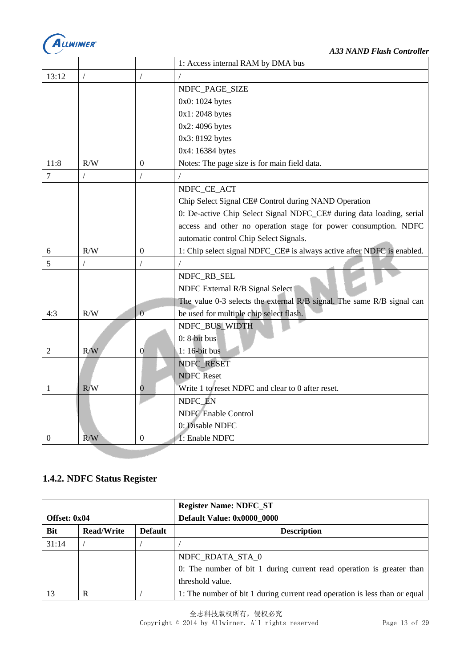

|                  |     |                  | 1: Access internal RAM by DMA bus                                      |
|------------------|-----|------------------|------------------------------------------------------------------------|
| 13:12            |     |                  |                                                                        |
|                  |     |                  | NDFC_PAGE_SIZE                                                         |
|                  |     |                  | 0x0: 1024 bytes                                                        |
|                  |     |                  | $0x1:2048$ bytes                                                       |
|                  |     |                  | 0x2: 4096 bytes                                                        |
|                  |     |                  | 0x3: 8192 bytes                                                        |
|                  |     |                  | 0x4: 16384 bytes                                                       |
| 11:8             | R/W | $\mathbf{0}$     | Notes: The page size is for main field data.                           |
| $\overline{7}$   |     |                  |                                                                        |
|                  |     |                  | NDFC_CE_ACT                                                            |
|                  |     |                  | Chip Select Signal CE# Control during NAND Operation                   |
|                  |     |                  | 0: De-active Chip Select Signal NDFC_CE# during data loading, serial   |
|                  |     |                  | access and other no operation stage for power consumption. NDFC        |
|                  |     |                  | automatic control Chip Select Signals.                                 |
| 6                | R/W | $\theta$         | 1: Chip select signal NDFC_CE# is always active after NDFC is enabled. |
| 5                |     |                  |                                                                        |
|                  |     |                  | NDFC_RB_SEL                                                            |
|                  |     |                  | NDFC External R/B Signal Select                                        |
|                  |     |                  | The value 0-3 selects the external R/B signal. The same R/B signal can |
| 4:3              | R/W | $\overline{0}$   | be used for multiple chip select flash.                                |
|                  |     |                  | NDFC_BUS_WIDTH                                                         |
|                  |     |                  | $0: 8$ -bit bus                                                        |
| 2                | R/W | $\mathbf{0}$     | $1:16$ -bit bus                                                        |
|                  |     |                  | NDFC_RESET                                                             |
|                  |     |                  | <b>NDFC Reset</b>                                                      |
| 1                | R/W | 0                | Write 1 to reset NDFC and clear to 0 after reset.                      |
|                  |     |                  | NDFC EN                                                                |
|                  |     |                  | <b>NDFC</b> Enable Control                                             |
|                  |     |                  | 0: Disable NDFC                                                        |
| $\boldsymbol{0}$ | R/W | $\boldsymbol{0}$ | 1: Enable NDFC                                                         |

## <span id="page-12-0"></span>**1.4.2. NDFC Status Register**

|              |                   |                | <b>Register Name: NDFC_ST</b>                                              |
|--------------|-------------------|----------------|----------------------------------------------------------------------------|
| Offset: 0x04 |                   |                | Default Value: 0x0000 0000                                                 |
| <b>Bit</b>   | <b>Read/Write</b> | <b>Default</b> | <b>Description</b>                                                         |
| 31:14        |                   |                |                                                                            |
|              |                   |                | NDFC RDATA STA 0                                                           |
|              |                   |                | 0: The number of bit 1 during current read operation is greater than       |
|              |                   |                | threshold value.                                                           |
| 13           | R                 |                | 1: The number of bit 1 during current read operation is less than or equal |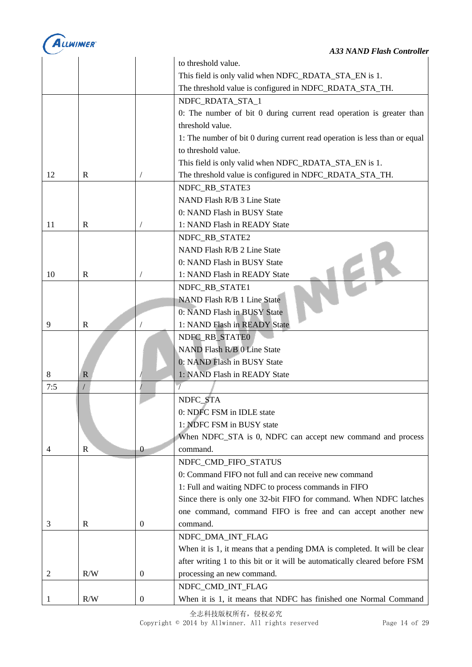

|     |              |                  | to threshold value.                                                        |
|-----|--------------|------------------|----------------------------------------------------------------------------|
|     |              |                  | This field is only valid when NDFC_RDATA_STA_EN is 1.                      |
|     |              |                  | The threshold value is configured in NDFC_RDATA_STA_TH.                    |
|     |              |                  | NDFC_RDATA_STA_1                                                           |
|     |              |                  | 0: The number of bit 0 during current read operation is greater than       |
|     |              |                  | threshold value.                                                           |
|     |              |                  | 1: The number of bit 0 during current read operation is less than or equal |
|     |              |                  | to threshold value.                                                        |
|     |              |                  | This field is only valid when NDFC_RDATA_STA_EN is 1.                      |
| 12  | R            |                  | The threshold value is configured in NDFC_RDATA_STA_TH.                    |
|     |              |                  | NDFC_RB_STATE3                                                             |
|     |              |                  | NAND Flash R/B 3 Line State                                                |
|     |              |                  | 0: NAND Flash in BUSY State                                                |
| 11  | R            |                  | 1: NAND Flash in READY State                                               |
|     |              |                  | NDFC_RB_STATE2                                                             |
|     |              |                  | NAND Flash R/B 2 Line State                                                |
|     |              |                  | 0: NAND Flash in BUSY State                                                |
| 10  | R            |                  | 1: NAND Flash in READY State                                               |
|     |              |                  | NDFC_RB_STATE1                                                             |
|     |              |                  | NAND Flash R/B 1 Line State                                                |
|     |              |                  | 0: NAND Flash in BUSY State                                                |
| 9   | $\mathbf R$  |                  | 1: NAND Flash in READY State                                               |
|     |              |                  | NDFC_RB_STATE0                                                             |
|     |              |                  | NAND Flash R/B 0 Line State                                                |
|     |              |                  | 0: NAND Flash in BUSY State                                                |
| 8   | $\mathbb{R}$ |                  | 1: NAND Flash in READY State                                               |
| 7:5 |              |                  |                                                                            |
|     |              |                  | NDFC_STA                                                                   |
|     |              |                  | 0: NDFC FSM in IDLE state                                                  |
|     |              |                  | 1: NDFC FSM in BUSY state                                                  |
|     |              |                  | When NDFC_STA is 0, NDFC can accept new command and process                |
| 4   | R            | $\theta$         | command.                                                                   |
|     |              |                  | NDFC_CMD_FIFO_STATUS                                                       |
|     |              |                  | 0: Command FIFO not full and can receive new command                       |
|     |              |                  | 1: Full and waiting NDFC to process commands in FIFO                       |
|     |              |                  | Since there is only one 32-bit FIFO for command. When NDFC latches         |
|     |              |                  | one command, command FIFO is free and can accept another new               |
| 3   | R            | $\mathbf{0}$     | command.                                                                   |
|     |              |                  | NDFC_DMA_INT_FLAG                                                          |
|     |              |                  | When it is 1, it means that a pending DMA is completed. It will be clear   |
|     |              |                  | after writing 1 to this bit or it will be automatically cleared before FSM |
| 2   | R/W          | $\boldsymbol{0}$ | processing an new command.                                                 |
|     |              |                  | NDFC_CMD_INT_FLAG                                                          |
|     | R/W          | $\boldsymbol{0}$ | When it is 1, it means that NDFC has finished one Normal Command           |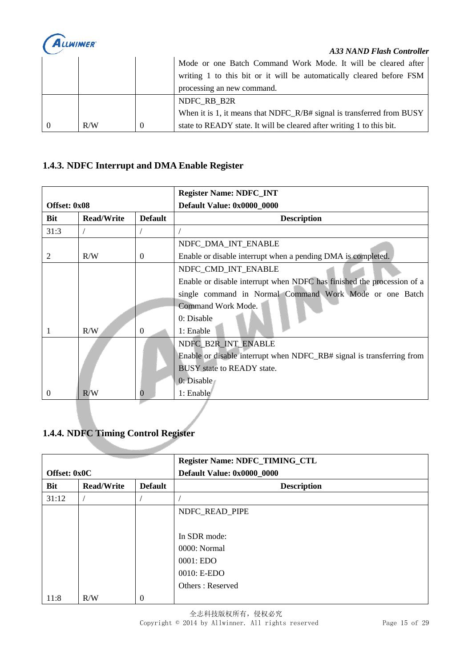

#### *A33 NAND Flash Controller*

|     | Mode or one Batch Command Work Mode. It will be cleared after<br>writing 1 to this bit or it will be automatically cleared before FSM<br>processing an new command. |
|-----|---------------------------------------------------------------------------------------------------------------------------------------------------------------------|
|     | NDFC RB B2R                                                                                                                                                         |
|     | When it is 1, it means that NDFC_R/B# signal is transferred from BUSY                                                                                               |
| R/W | state to READY state. It will be cleared after writing 1 to this bit.                                                                                               |

#### <span id="page-14-0"></span>**1.4.3. NDFC Interrupt and DMA Enable Register**

|              |                   |                | <b>Register Name: NDFC_INT</b>                                         |
|--------------|-------------------|----------------|------------------------------------------------------------------------|
| Offset: 0x08 |                   |                | Default Value: 0x0000_0000                                             |
| Bit          | <b>Read/Write</b> | <b>Default</b> | <b>Description</b>                                                     |
| 31:3         |                   |                |                                                                        |
|              |                   |                | NDFC_DMA_INT_ENABLE                                                    |
| 2            | R/W               | $\Omega$       | Enable or disable interrupt when a pending DMA is completed.           |
|              |                   |                | NDFC_CMD_INT_ENABLE                                                    |
|              |                   |                | Enable or disable interrupt when NDFC has finished the procession of a |
|              |                   |                | single command in Normal Command Work Mode or one Batch                |
|              |                   |                | Command Work Mode.                                                     |
|              |                   |                | 0: Disable                                                             |
|              | R/W               | $\theta$       | 1: Enable                                                              |
|              |                   |                | NDFC_B2R_INT_ENABLE                                                    |
|              |                   |                | Enable or disable interrupt when NDFC_RB# signal is transferring from  |
|              |                   |                | <b>BUSY</b> state to <b>READY</b> state.                               |
|              |                   |                | 0: Disable                                                             |
| $\Omega$     | R/W               | 0              | 1: Enable                                                              |

#### <span id="page-14-1"></span>**1.4.4. NDFC Timing Control Register**

| Offset: 0x0C |                   |                | Register Name: NDFC_TIMING_CTL<br>Default Value: 0x0000_0000 |
|--------------|-------------------|----------------|--------------------------------------------------------------|
| Bit          | <b>Read/Write</b> | <b>Default</b> | <b>Description</b>                                           |
| 31:12        |                   |                |                                                              |
|              |                   |                | NDFC_READ_PIPE                                               |
|              |                   |                |                                                              |
|              |                   |                | In SDR mode:                                                 |
|              |                   |                | 0000: Normal                                                 |
|              |                   |                | 0001: EDO                                                    |
|              |                   |                | 0010: E-EDO                                                  |
|              |                   |                | Others: Reserved                                             |
| 11:8         | R/W               | $\theta$       |                                                              |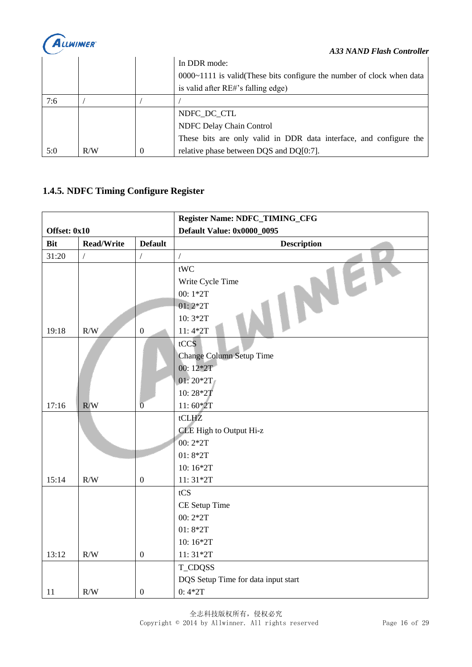

|     |     |   | <b>A33 NAND Flash Controller</b>                                         |
|-----|-----|---|--------------------------------------------------------------------------|
|     |     |   | In DDR mode:                                                             |
|     |     |   | $0000~1111$ is valid (These bits configure the number of clock when data |
|     |     |   | is valid after RE#'s falling edge)                                       |
| 7:6 |     |   |                                                                          |
|     |     |   | NDFC DC CTL                                                              |
|     |     |   | NDFC Delay Chain Control                                                 |
|     |     |   | These bits are only valid in DDR data interface, and configure the       |
| 5:0 | R/W | 0 | relative phase between DQS and DQ[0:7].                                  |

## <span id="page-15-0"></span>**1.4.5. NDFC Timing Configure Register**

|              |                   |                  | Register Name: NDFC_TIMING_CFG      |
|--------------|-------------------|------------------|-------------------------------------|
| Offset: 0x10 |                   |                  | <b>Default Value: 0x0000_0095</b>   |
| <b>Bit</b>   | <b>Read/Write</b> | <b>Default</b>   | <b>Description</b>                  |
| 31:20        | $\sqrt{2}$        | $\sqrt{2}$       | $\overline{1}$                      |
|              |                   |                  | tWC                                 |
|              |                   |                  | Write Cycle Time                    |
|              |                   |                  | 00:1*2T                             |
|              |                   |                  | $01:2*2T$                           |
|              |                   |                  | 10:3*2T                             |
| 19:18        | $\rm R/W$         | $\boldsymbol{0}$ | $11:4*2T$                           |
|              |                   |                  | tCCS                                |
|              |                   |                  | Change Column Setup Time            |
|              |                   |                  | 00:12*2T                            |
|              |                   |                  | $01:20*2T$                          |
|              |                   |                  | 10:28*27                            |
| 17:16        | R/W               | $\overline{0}$   | $11:60*2T$                          |
|              |                   |                  | tCLHZ                               |
|              |                   |                  | CLE High to Output Hi-z             |
|              |                   |                  | 00:2*2T                             |
|              |                   |                  | $01:8*2T$                           |
|              |                   |                  | 10:16*2T                            |
| 15:14        | R/W               | $\mathbf{0}$     | $11:31*2T$                          |
|              |                   |                  | tCS                                 |
|              |                   |                  | CE Setup Time                       |
|              |                   |                  | 00:2*2T                             |
|              |                   |                  | $01:8*2T$                           |
|              |                   |                  | 10:16*2T                            |
| 13:12        | R/W               | $\boldsymbol{0}$ | $11:31*2T$                          |
|              |                   |                  | <b>T_CDQSS</b>                      |
|              |                   |                  | DQS Setup Time for data input start |
| 11           | R/W               | $\boldsymbol{0}$ | $0:4*2T$                            |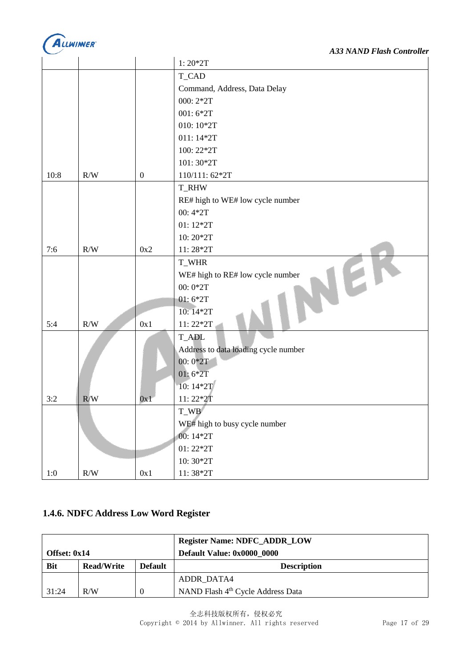

|       |           |                  | $1:20*2T$                            |
|-------|-----------|------------------|--------------------------------------|
|       |           |                  | <b>T_CAD</b>                         |
|       |           |                  | Command, Address, Data Delay         |
|       |           |                  | 000:2*2T                             |
|       |           |                  | $001:6*2T$                           |
|       |           |                  | 010:10*2T                            |
|       |           |                  | 011:14*2T                            |
|       |           |                  | 100:22*2T                            |
|       |           |                  | 101:30*2T                            |
| 10:8  | R/W       | $\boldsymbol{0}$ | 110/111:62*2T                        |
|       |           |                  | <b>T_RHW</b>                         |
|       |           |                  | RE# high to WE# low cycle number     |
|       |           |                  | 00:4*2T                              |
|       |           |                  | $01:12*2T$                           |
|       |           |                  | 10:20*2T                             |
| 7:6   | R/W       | 0x2              | 11:28*2T                             |
|       |           |                  | T_WHR                                |
|       |           |                  | WE# high to RE# low cycle number     |
|       |           |                  | $00:0*2T$                            |
|       |           |                  | $01:6*2T$                            |
|       |           |                  | 10:14*2T                             |
| 5:4   | R/W       | 0x1              | 11:22*2T                             |
|       |           |                  | <b>T_ADL</b>                         |
|       |           |                  | Address to data loading cycle number |
|       |           |                  | $00:0*2T$                            |
|       |           |                  | $01:6*2T$                            |
|       |           |                  | 10:14*2T                             |
| 3:2   | R/W       | 0x1              | $11:22*2T$                           |
|       |           |                  | T_WB                                 |
|       |           |                  | WE# high to busy cycle number        |
|       |           |                  | 00:14*2T                             |
|       |           |                  | $01:22*2T$                           |
|       |           |                  | 10:30*2T                             |
| $1:0$ | $\rm R/W$ | 0x1              | $11:38*2T$                           |

#### <span id="page-16-0"></span>**1.4.6. NDFC Address Low Word Register**

|                |            |                | <b>Register Name: NDFC_ADDR_LOW</b> |
|----------------|------------|----------------|-------------------------------------|
| Offset: $0x14$ |            |                | Default Value: 0x0000 0000          |
| <b>Bit</b>     | Read/Write | <b>Default</b> | <b>Description</b>                  |
|                |            |                | ADDR DATA4                          |
| 31:24          | R/W        | $\theta$       | NAND Flash 4th Cycle Address Data   |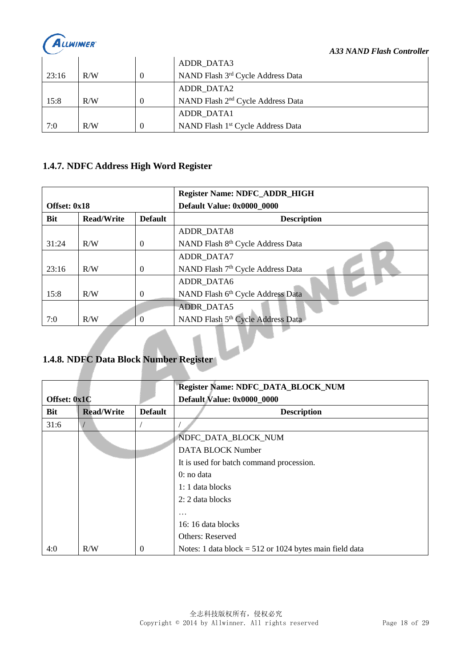

|       |     | ADDR DATA3                                    |
|-------|-----|-----------------------------------------------|
| 23:16 | R/W | NAND Flash 3rd Cycle Address Data             |
|       |     | ADDR DATA2                                    |
| 15:8  | R/W | NAND Flash 2 <sup>nd</sup> Cycle Address Data |
|       |     | ADDR DATA1                                    |
| 7:0   | R/W | NAND Flash 1 <sup>st</sup> Cycle Address Data |

#### <span id="page-17-0"></span>**1.4.7. NDFC Address High Word Register**

|                                       |                   |                | <b>Register Name: NDFC_ADDR_HIGH</b>          |
|---------------------------------------|-------------------|----------------|-----------------------------------------------|
| Offset: 0x18                          |                   |                | Default Value: 0x0000_0000                    |
| <b>Bit</b>                            | <b>Read/Write</b> | <b>Default</b> | <b>Description</b>                            |
|                                       |                   |                | ADDR_DATA8                                    |
| 31:24                                 | R/W               | $\Omega$       | NAND Flash 8 <sup>th</sup> Cycle Address Data |
|                                       |                   |                | ADDR_DATA7                                    |
| 23:16                                 | R/W               | $\Omega$       | NAND Flash 7 <sup>th</sup> Cycle Address Data |
|                                       |                   |                | ADDR_DATA6                                    |
| 15:8                                  | R/W               | $\Omega$       | NAND Flash 6th Cycle Address Data             |
|                                       |                   |                | <b>ADDR_DATA5</b>                             |
| 7:0                                   | R/W               | $\Omega$       | NAND Flash 5th Cycle Address Data             |
| 1.4.0 NDEC Dete Pleeb Number Decision |                   |                |                                               |

#### <span id="page-17-1"></span>**1.4.8. NDFC Data Block Number Register**

|              |                   |                | Register Name: NDFC_DATA_BLOCK_NUM                        |
|--------------|-------------------|----------------|-----------------------------------------------------------|
| Offset: 0x1C |                   |                | Default Value: 0x0000 0000                                |
| Bit          | <b>Read/Write</b> | <b>Default</b> | <b>Description</b>                                        |
| 31:6         |                   |                |                                                           |
|              |                   |                | NDFC_DATA_BLOCK_NUM                                       |
|              |                   |                | <b>DATA BLOCK Number</b>                                  |
|              |                   |                | It is used for batch command procession.                  |
|              |                   |                | $0:$ no data                                              |
|              |                   |                | 1: 1 data blocks                                          |
|              |                   |                | 2: 2 data blocks                                          |
|              |                   |                | $\cdot$                                                   |
|              |                   |                | 16: 16 data blocks                                        |
|              |                   |                | <b>Others: Reserved</b>                                   |
| 4:0          | R/W               | 0              | Notes: 1 data block = $512$ or 1024 bytes main field data |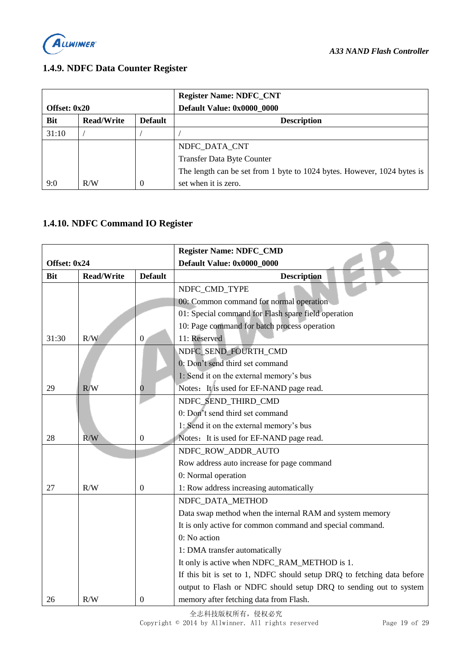

#### <span id="page-18-0"></span>**1.4.9. NDFC Data Counter Register**

|                |                   |                | <b>Register Name: NDFC_CNT</b>                                          |
|----------------|-------------------|----------------|-------------------------------------------------------------------------|
| Offset: $0x20$ |                   |                | Default Value: 0x0000 0000                                              |
| <b>Bit</b>     | <b>Read/Write</b> | <b>Default</b> | <b>Description</b>                                                      |
| 31:10          |                   |                |                                                                         |
|                |                   |                | NDFC_DATA_CNT                                                           |
|                |                   |                | <b>Transfer Data Byte Counter</b>                                       |
|                |                   |                | The length can be set from 1 byte to 1024 bytes. However, 1024 bytes is |
| 9:0            | R/W               |                | set when it is zero.                                                    |

#### <span id="page-18-1"></span>**1.4.10. NDFC Command IO Register**

|              |                   |                  | <b>Register Name: NDFC_CMD</b>                                         |
|--------------|-------------------|------------------|------------------------------------------------------------------------|
| Offset: 0x24 |                   |                  | Default Value: 0x0000_0000                                             |
| <b>Bit</b>   | <b>Read/Write</b> | <b>Default</b>   | <b>Description</b>                                                     |
|              |                   |                  | NDFC_CMD_TYPE                                                          |
|              |                   |                  | 00: Common command for normal operation                                |
|              |                   |                  | 01: Special command for Flash spare field operation                    |
|              |                   |                  | 10: Page command for batch process operation                           |
| 31:30        | R/W               | $\boldsymbol{0}$ | 11: Reserved                                                           |
|              |                   |                  | NDFC_SEND_FOURTH_CMD                                                   |
|              |                   |                  | 0: Don't send third set command                                        |
|              |                   |                  | 1: Send it on the external memory's bus                                |
| 29           | R/W               | 0                | Notes: It is used for EF-NAND page read.                               |
|              |                   |                  | NDFC_SEND_THIRD_CMD                                                    |
|              |                   |                  | 0: Don't send third set command                                        |
|              |                   |                  | 1: Send it on the external memory's bus                                |
| 28           | R/W               | $\boldsymbol{0}$ | Notes: It is used for EF-NAND page read.                               |
|              |                   |                  | NDFC_ROW_ADDR_AUTO                                                     |
|              |                   |                  | Row address auto increase for page command                             |
|              |                   |                  | 0: Normal operation                                                    |
| 27           | R/W               | $\boldsymbol{0}$ | 1: Row address increasing automatically                                |
|              |                   |                  | NDFC_DATA_METHOD                                                       |
|              |                   |                  | Data swap method when the internal RAM and system memory               |
|              |                   |                  | It is only active for common command and special command.              |
|              |                   |                  | 0: No action                                                           |
|              |                   |                  | 1: DMA transfer automatically                                          |
|              |                   |                  | It only is active when NDFC_RAM_METHOD is 1.                           |
|              |                   |                  | If this bit is set to 1, NDFC should setup DRQ to fetching data before |
|              |                   |                  | output to Flash or NDFC should setup DRQ to sending out to system      |
| 26           | R/W               | $\Omega$         | memory after fetching data from Flash.                                 |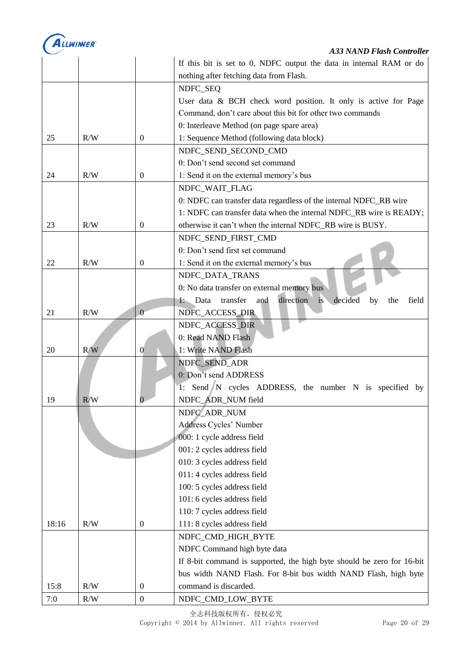

# *A33 NAND Flash Controller*

|       |     |                  | If this bit is set to 0, NDFC output the data in internal RAM or do                          |
|-------|-----|------------------|----------------------------------------------------------------------------------------------|
|       |     |                  | nothing after fetching data from Flash.                                                      |
|       |     |                  | NDFC_SEQ                                                                                     |
|       |     |                  | User data & BCH check word position. It only is active for Page                              |
|       |     |                  | Command, don't care about this bit for other two commands                                    |
|       |     |                  | 0: Interleave Method (on page spare area)                                                    |
| 25    | R/W | $\boldsymbol{0}$ | 1: Sequence Method (following data block)                                                    |
|       |     |                  | NDFC_SEND_SECOND_CMD                                                                         |
|       |     |                  | 0: Don't send second set command                                                             |
| 24    | R/W | $\theta$         | 1: Send it on the external memory's bus                                                      |
|       |     |                  | NDFC_WAIT_FLAG                                                                               |
|       |     |                  | 0: NDFC can transfer data regardless of the internal NDFC_RB wire                            |
|       |     |                  | 1: NDFC can transfer data when the internal NDFC_RB wire is READY;                           |
| 23    | R/W | $\boldsymbol{0}$ | otherwise it can't when the internal NDFC_RB wire is BUSY.                                   |
|       |     |                  | NDFC_SEND_FIRST_CMD                                                                          |
|       |     |                  | 0: Don't send first set command                                                              |
| 22    | R/W | $\boldsymbol{0}$ | 1: Send it on the external memory's bus                                                      |
|       |     |                  | NDFC_DATA_TRANS                                                                              |
|       |     |                  | 0: No data transfer on external memory bus                                                   |
|       |     |                  | direction<br>and<br>decided<br>transfer<br>$\overline{1}$<br>$1:$ Data<br>by<br>the<br>field |
| 21    | R/W | $\theta$         | NDFC_ACCESS_DIR                                                                              |
|       |     |                  | NDFC_ACCESS_DIR                                                                              |
|       |     |                  | 0: Read NAND Flash                                                                           |
| 20    | R/W | $\overline{0}$   | 1: Write NAND Flash                                                                          |
|       |     |                  | NDFC_SEND_ADR                                                                                |
|       |     |                  | 0: Don't send ADDRESS                                                                        |
|       |     |                  | 1: Send N cycles ADDRESS, the number N is specified by                                       |
| 19    | R/W |                  | NDFC_ADR_NUM field                                                                           |
|       |     |                  | NDFC_ADR_NUM                                                                                 |
|       |     |                  | Address Cycles' Number                                                                       |
|       |     |                  | 000: 1 cycle address field                                                                   |
|       |     |                  | 001: 2 cycles address field                                                                  |
|       |     |                  | 010: 3 cycles address field                                                                  |
|       |     |                  | 011: 4 cycles address field                                                                  |
|       |     |                  | 100: 5 cycles address field                                                                  |
|       |     |                  | 101: 6 cycles address field                                                                  |
|       |     |                  | 110: 7 cycles address field                                                                  |
| 18:16 | R/W | $\boldsymbol{0}$ | 111: 8 cycles address field                                                                  |
|       |     |                  | NDFC_CMD_HIGH_BYTE                                                                           |
|       |     |                  | NDFC Command high byte data                                                                  |
|       |     |                  | If 8-bit command is supported, the high byte should be zero for 16-bit                       |
|       |     |                  | bus width NAND Flash. For 8-bit bus width NAND Flash, high byte                              |
| 15:8  | R/W | $\boldsymbol{0}$ | command is discarded.                                                                        |
| $7:0$ | R/W | $\boldsymbol{0}$ | NDFC_CMD_LOW_BYTE                                                                            |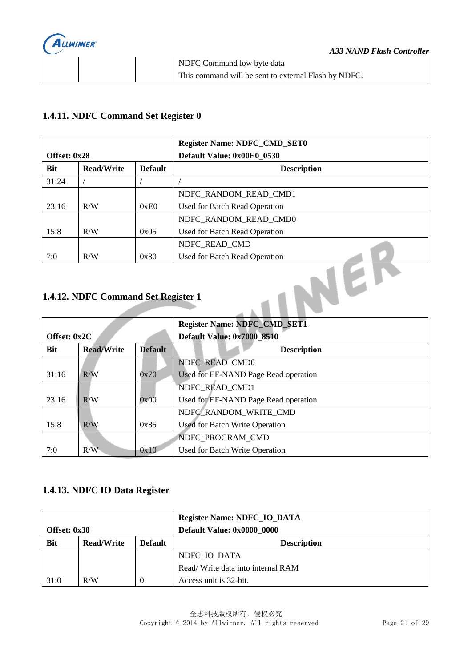

#### <span id="page-20-0"></span>**1.4.11. NDFC Command Set Register 0**

|                                            |     |      | <b>Register Name: NDFC_CMD_SET0</b> |
|--------------------------------------------|-----|------|-------------------------------------|
| Offset: 0x28                               |     |      | Default Value: 0x00E0 0530          |
| <b>Read/Write</b><br>Bit<br><b>Default</b> |     |      | <b>Description</b>                  |
| 31:24                                      |     |      |                                     |
|                                            |     |      | NDFC RANDOM READ CMD1               |
| 23:16                                      | R/W | 0xE0 | Used for Batch Read Operation       |
|                                            |     |      | NDFC_RANDOM_READ_CMD0               |
| 15:8                                       | R/W | 0x05 | Used for Batch Read Operation       |
|                                            |     |      | NDFC READ CMD                       |
| 7:0                                        | R/W | 0x30 | Used for Batch Read Operation       |

#### <span id="page-20-1"></span>**1.4.12. NDFC Command Set Register 1**

| Offset: 0x2C                                      |     |      | <b>Register Name: NDFC_CMD_SET1</b><br><b>Default Value: 0x7000_8510</b> |
|---------------------------------------------------|-----|------|--------------------------------------------------------------------------|
| <b>Read/Write</b><br><b>Bit</b><br><b>Default</b> |     |      | <b>Description</b>                                                       |
|                                                   |     |      | NDFC READ CMD0                                                           |
| 31:16                                             | R/W | 0x70 | Used for EF-NAND Page Read operation                                     |
|                                                   |     |      | NDFC_READ_CMD1                                                           |
| 23:16                                             | R/W | 0x00 | Used for EF-NAND Page Read operation                                     |
|                                                   |     |      | NDFC RANDOM WRITE CMD                                                    |
| 15:8                                              | R/W | 0x85 | Used for Batch Write Operation                                           |
|                                                   |     |      | NDFC PROGRAM CMD                                                         |
| 7:0                                               | R/W | 0x10 | Used for Batch Write Operation                                           |

#### <span id="page-20-2"></span>**1.4.13. NDFC IO Data Register**

|              |                   |                | <b>Register Name: NDFC_IO_DATA</b> |
|--------------|-------------------|----------------|------------------------------------|
| Offset: 0x30 |                   |                | Default Value: 0x0000 0000         |
| <b>Bit</b>   | <b>Read/Write</b> | <b>Default</b> | <b>Description</b>                 |
|              |                   |                | NDFC IO DATA                       |
|              |                   |                | Read/Write data into internal RAM  |
| 31:0         | R/W               |                | Access unit is 32-bit.             |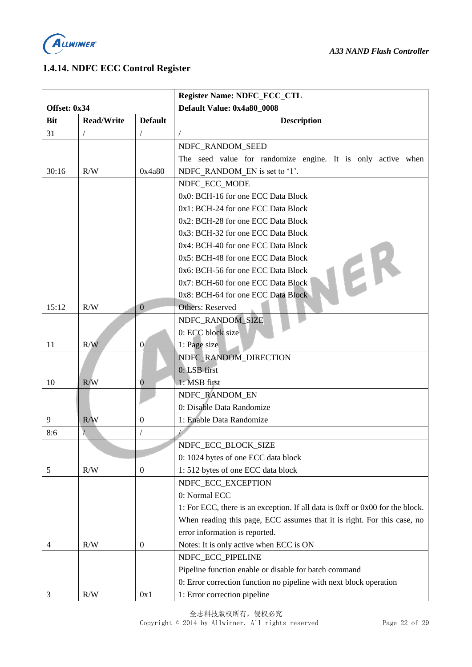

#### <span id="page-21-0"></span>**1.4.14. NDFC ECC Control Register**

|              |                   |                  | <b>Register Name: NDFC_ECC_CTL</b>                                            |
|--------------|-------------------|------------------|-------------------------------------------------------------------------------|
| Offset: 0x34 |                   |                  | Default Value: 0x4a80_0008                                                    |
| Bit          | <b>Read/Write</b> | <b>Default</b>   | <b>Description</b>                                                            |
| 31           | $\sqrt{2}$        |                  | $\sqrt{2}$                                                                    |
|              |                   |                  | NDFC RANDOM SEED                                                              |
|              |                   |                  | The seed value for randomize engine. It is only active when                   |
| 30:16        | R/W               | 0x4a80           | NDFC RANDOM EN is set to '1'.                                                 |
|              |                   |                  | NDFC ECC MODE                                                                 |
|              |                   |                  | 0x0: BCH-16 for one ECC Data Block                                            |
|              |                   |                  | 0x1: BCH-24 for one ECC Data Block                                            |
|              |                   |                  | 0x2: BCH-28 for one ECC Data Block                                            |
|              |                   |                  | 0x3: BCH-32 for one ECC Data Block                                            |
|              |                   |                  | 0x4: BCH-40 for one ECC Data Block                                            |
|              |                   |                  | 0x5: BCH-48 for one ECC Data Block<br>EK                                      |
|              |                   |                  | 0x6: BCH-56 for one ECC Data Block                                            |
|              |                   |                  | 0x7: BCH-60 for one ECC Data Block                                            |
|              |                   |                  | 0x8: BCH-64 for one ECC Data Block                                            |
| 15:12        | R/W               | $\overline{0}$   | <b>Others: Reserved</b>                                                       |
|              |                   |                  | NDFC_RANDOM_SIZE                                                              |
|              |                   |                  | 0: ECC block size                                                             |
| 11           | R/W               | $\overline{0}$   | 1: Page size                                                                  |
|              |                   |                  | NDFC_RANDOM_DIRECTION                                                         |
|              |                   |                  | 0: LSB first                                                                  |
| 10           | R/W               | $\bm{0}$         | 1: MSB first                                                                  |
|              |                   |                  | NDFC_RANDOM_EN                                                                |
|              |                   |                  | 0: Disable Data Randomize                                                     |
| 9            | R/W               | $\overline{0}$   | 1: Enable Data Randomize                                                      |
| 8:6          |                   | $\sqrt{2}$       |                                                                               |
|              |                   |                  | NDFC_ECC_BLOCK_SIZE                                                           |
|              |                   |                  | 0: 1024 bytes of one ECC data block                                           |
| 5            | R/W               | $\boldsymbol{0}$ | 1:512 bytes of one ECC data block                                             |
|              |                   |                  | NDFC_ECC_EXCEPTION                                                            |
|              |                   |                  | 0: Normal ECC                                                                 |
|              |                   |                  | 1: For ECC, there is an exception. If all data is 0xff or 0x00 for the block. |
|              |                   |                  | When reading this page, ECC assumes that it is right. For this case, no       |
|              |                   |                  | error information is reported.                                                |
| 4            | R/W               | $\boldsymbol{0}$ | Notes: It is only active when ECC is ON                                       |
|              |                   |                  | NDFC_ECC_PIPELINE                                                             |
|              |                   |                  | Pipeline function enable or disable for batch command                         |
|              |                   |                  | 0: Error correction function no pipeline with next block operation            |
| 3            | R/W               | 0x1              | 1: Error correction pipeline                                                  |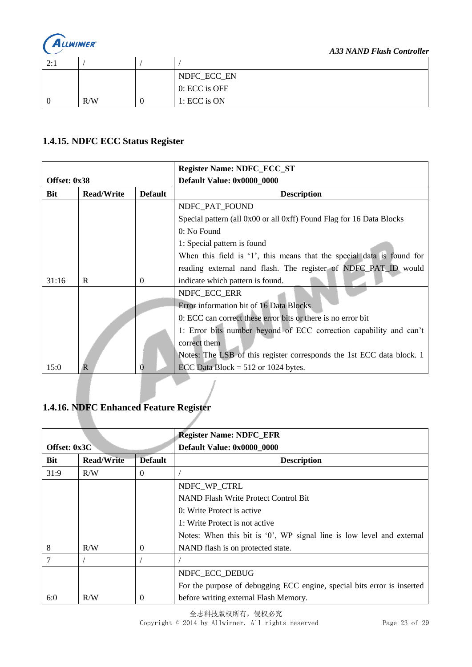

| 2.1<br>$\overline{a}$ . |     |                       |
|-------------------------|-----|-----------------------|
|                         |     | NDFC_ECC_EN           |
|                         |     | $\vert$ 0: ECC is OFF |
|                         | R/W | 1: ECC is ON          |

#### <span id="page-22-0"></span>**1.4.15. NDFC ECC Status Register**

|              |                   |                | <b>Register Name: NDFC_ECC_ST</b>                                     |
|--------------|-------------------|----------------|-----------------------------------------------------------------------|
| Offset: 0x38 |                   |                | Default Value: 0x0000_0000                                            |
| <b>Bit</b>   | <b>Read/Write</b> | <b>Default</b> | <b>Description</b>                                                    |
|              |                   |                | NDFC_PAT_FOUND                                                        |
|              |                   |                | Special pattern (all 0x00 or all 0xff) Found Flag for 16 Data Blocks  |
|              |                   |                | $0: No$ Found                                                         |
|              |                   |                | 1: Special pattern is found                                           |
|              |                   |                | When this field is '1', this means that the special data is found for |
|              |                   |                | reading external nand flash. The register of NDFC_PAT_ID would        |
| 31:16        | R                 | $\Omega$       | indicate which pattern is found.                                      |
|              |                   |                | NDFC_ECC_ERR                                                          |
|              |                   |                | Error information bit of 16 Data Blocks                               |
|              |                   |                | 0: ECC can correct these error bits or there is no error bit          |
|              |                   |                | 1: Error bits number beyond of ECC correction capability and can't    |
|              |                   |                | correct them                                                          |
|              |                   |                | Notes: The LSB of this register corresponds the 1st ECC data block. 1 |
| 15:0         | R                 | 0              | ECC Data Block = $512$ or 1024 bytes.                                 |

#### <span id="page-22-1"></span>**1.4.16. NDFC Enhanced Feature Register**

|              |                   |                | <b>Register Name: NDFC_EFR</b>                                          |
|--------------|-------------------|----------------|-------------------------------------------------------------------------|
| Offset: 0x3C |                   |                | Default Value: 0x0000_0000                                              |
| Bit          | <b>Read/Write</b> | <b>Default</b> | <b>Description</b>                                                      |
| 31:9         | R/W               | $\Omega$       |                                                                         |
|              |                   |                | NDFC_WP_CTRL                                                            |
|              |                   |                | <b>NAND Flash Write Protect Control Bit</b>                             |
|              |                   |                | 0: Write Protect is active                                              |
|              |                   |                | 1: Write Protect is not active                                          |
|              |                   |                | Notes: When this bit is $0$ , WP signal line is low level and external  |
| 8            | R/W               | $\theta$       | NAND flash is on protected state.                                       |
| 7            |                   |                |                                                                         |
|              |                   |                | NDFC_ECC_DEBUG                                                          |
|              |                   |                | For the purpose of debugging ECC engine, special bits error is inserted |
| 6:0          | R/W               | 0              | before writing external Flash Memory.                                   |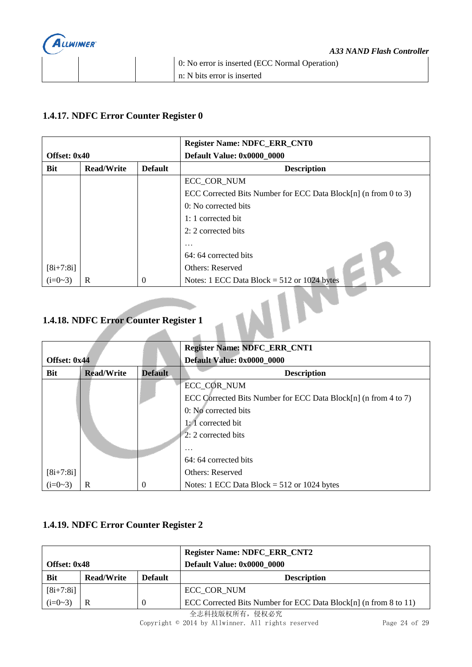

#### <span id="page-23-0"></span>**1.4.17. NDFC Error Counter Register 0**

|              |                   |                | <b>Register Name: NDFC_ERR_CNT0</b>                             |
|--------------|-------------------|----------------|-----------------------------------------------------------------|
| Offset: 0x40 |                   |                | Default Value: 0x0000 0000                                      |
| Bit          | <b>Read/Write</b> | <b>Default</b> | <b>Description</b>                                              |
|              |                   |                | ECC_COR_NUM                                                     |
|              |                   |                | ECC Corrected Bits Number for ECC Data Block[n] (n from 0 to 3) |
|              |                   |                | 0: No corrected bits                                            |
|              |                   |                | 1: 1 corrected bit                                              |
|              |                   |                | 2: 2 corrected bits                                             |
|              |                   |                | .                                                               |
|              |                   |                | 64: 64 corrected bits                                           |
| $[8i+7:8i]$  |                   |                | <b>Others: Reserved</b>                                         |
| $(i=0-3)$    | R                 | $\Omega$       | Notes: 1 ECC Data Block = $512$ or 1024 bytes                   |

### <span id="page-23-1"></span>**1.4.18. NDFC Error Counter Register 1**

|              |                   |                | <b>Register Name: NDFC_ERR_CNT1</b>                             |
|--------------|-------------------|----------------|-----------------------------------------------------------------|
| Offset: 0x44 |                   |                | Default Value: 0x0000_0000                                      |
| Bit          | <b>Read/Write</b> | <b>Default</b> | <b>Description</b>                                              |
|              |                   |                | ECC_COR_NUM                                                     |
|              |                   |                | ECC Corrected Bits Number for ECC Data Block[n] (n from 4 to 7) |
|              |                   |                | 0: No corrected bits                                            |
|              |                   |                | $1:1$ corrected bit                                             |
|              |                   |                | 2: 2 corrected bits                                             |
|              |                   |                | .                                                               |
|              |                   |                | 64: 64 corrected bits                                           |
| $[8i+7:8i]$  |                   |                | <b>Others: Reserved</b>                                         |
| $(i=0-3)$    | R                 | $\theta$       | Notes: $1$ ECC Data Block = $512$ or 1024 bytes                 |

#### <span id="page-23-2"></span>**1.4.19. NDFC Error Counter Register 2**

|              |                   |                | <b>Register Name: NDFC_ERR_CNT2</b>                              |
|--------------|-------------------|----------------|------------------------------------------------------------------|
| Offset: 0x48 |                   |                | Default Value: 0x0000 0000                                       |
| <b>Bit</b>   | <b>Read/Write</b> | <b>Default</b> | <b>Description</b>                                               |
| $[8i+7:8i]$  |                   |                | ECC COR NUM                                                      |
| $(i=0-3)$    | R                 |                | ECC Corrected Bits Number for ECC Data Block[n] (n from 8 to 11) |

全志科技版权所有,侵权必究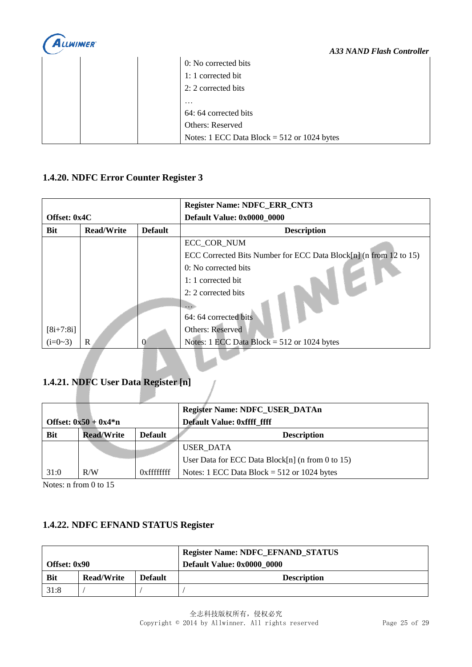

|  | 0: No corrected bits                          |
|--|-----------------------------------------------|
|  | 1: 1 corrected bit                            |
|  | 2: 2 corrected bits                           |
|  | $\cdot\cdot\cdot$                             |
|  | 64: 64 corrected bits                         |
|  | Others: Reserved                              |
|  | Notes: 1 ECC Data Block = $512$ or 1024 bytes |

#### <span id="page-24-0"></span>**1.4.20. NDFC Error Counter Register 3**

|              |                   |                | <b>Register Name: NDFC_ERR_CNT3</b>                               |
|--------------|-------------------|----------------|-------------------------------------------------------------------|
| Offset: 0x4C |                   |                | Default Value: 0x0000_0000                                        |
| <b>Bit</b>   | <b>Read/Write</b> | <b>Default</b> | <b>Description</b>                                                |
|              |                   |                | ECC_COR_NUM                                                       |
|              |                   |                | ECC Corrected Bits Number for ECC Data Block[n] (n from 12 to 15) |
|              |                   |                | 0: No corrected bits                                              |
|              |                   |                | 1: 1 corrected bit                                                |
|              |                   |                | 2: 2 corrected bits                                               |
|              |                   |                |                                                                   |
|              |                   |                | 64: 64 corrected bits                                             |
| $[8i+7:8i]$  |                   |                | Others: Reserved                                                  |
| $(i=0-3)$    | R                 | $\Omega$       | Notes: 1 ECC Data Block = $512$ or 1024 bytes                     |

## <span id="page-24-1"></span>**1.4.21. NDFC User Data Register [n]**

| Offset: $0x50 + 0x4*n$ |                   |                                                  | <b>Register Name: NDFC_USER_DATAn</b><br><b>Default Value: 0xffff ffff</b> |
|------------------------|-------------------|--------------------------------------------------|----------------------------------------------------------------------------|
| <b>Bit</b>             | <b>Read/Write</b> | <b>Default</b>                                   | <b>Description</b>                                                         |
|                        |                   |                                                  | USER DATA                                                                  |
|                        |                   | User Data for ECC Data Block[n] (n from 0 to 15) |                                                                            |
| 31:0                   | R/W               | $0x$ fffffffff                                   | Notes: 1 ECC Data Block = $512$ or 1024 bytes                              |

 $\frac{1}{2}$ 

Notes: n from 0 to 15

#### <span id="page-24-2"></span>**1.4.22. NDFC EFNAND STATUS Register**

|              |                   |                | <b>Register Name: NDFC_EFNAND_STATUS</b> |
|--------------|-------------------|----------------|------------------------------------------|
| Offset: 0x90 |                   |                | Default Value: 0x0000 0000               |
| <b>Bit</b>   | <b>Read/Write</b> | <b>Default</b> | <b>Description</b>                       |
| 31:8         |                   |                |                                          |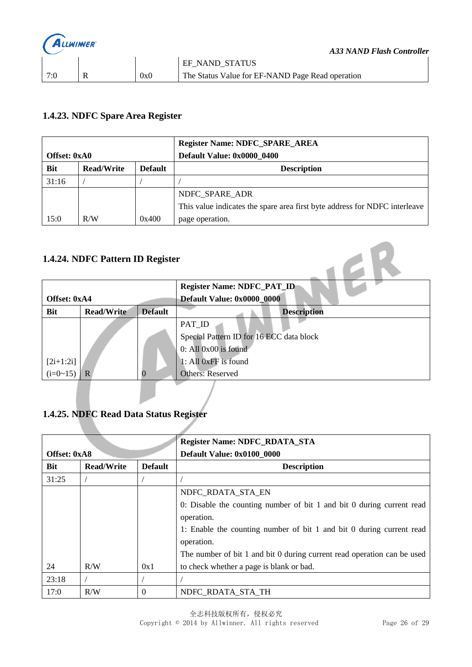

#### <span id="page-25-0"></span>**1.4.23. NDFC Spare Area Register**

|              |                   |                | <b>Register Name: NDFC_SPARE_AREA</b>                                      |
|--------------|-------------------|----------------|----------------------------------------------------------------------------|
| Offset: 0xA0 |                   |                | Default Value: 0x0000 0400                                                 |
| <b>Bit</b>   | <b>Read/Write</b> | <b>Default</b> | <b>Description</b>                                                         |
| 31:16        |                   |                |                                                                            |
|              |                   |                | NDFC SPARE ADR                                                             |
|              |                   |                | This value indicates the spare area first byte address for NDFC interleave |
| 15:0         | R/W               | 0x400          | page operation.                                                            |

#### **1.4.24. NDFC Pattern ID Register**

<span id="page-25-1"></span>

| 1.4.24. NDFC Pattern ID Register |                   |                |                                          |  |
|----------------------------------|-------------------|----------------|------------------------------------------|--|
|                                  |                   |                | <b>Register Name: NDFC_PAT_ID</b>        |  |
| Offset: 0xA4                     |                   |                | Default Value: 0x0000_0000               |  |
| <b>Bit</b>                       | <b>Read/Write</b> | <b>Default</b> | <b>Description</b>                       |  |
|                                  |                   |                | PAT_ID                                   |  |
|                                  |                   |                | Special Pattern ID for 16 ECC data block |  |
|                                  |                   |                | $0:$ All $0x00$ is found                 |  |
| $[2i+1:2i]$                      |                   |                | 1: All 0xFF is found                     |  |
| $(i=0~15)$                       |                   |                | <b>Others: Reserved</b>                  |  |

#### <span id="page-25-2"></span>**1.4.25. NDFC Read Data Status Register**

| <b>Register Name: NDFC_RDATA_STA</b> |                   |                |                                                                         |
|--------------------------------------|-------------------|----------------|-------------------------------------------------------------------------|
| Offset: 0xA8                         |                   |                | Default Value: 0x0100 0000                                              |
| <b>Bit</b>                           | <b>Read/Write</b> | <b>Default</b> | <b>Description</b>                                                      |
| 31:25                                |                   |                |                                                                         |
|                                      |                   |                | NDFC_RDATA_STA_EN                                                       |
|                                      |                   |                | 0: Disable the counting number of bit 1 and bit 0 during current read   |
|                                      |                   |                | operation.                                                              |
|                                      |                   |                | 1: Enable the counting number of bit 1 and bit 0 during current read    |
|                                      |                   |                | operation.                                                              |
|                                      |                   |                | The number of bit 1 and bit 0 during current read operation can be used |
| 24                                   | R/W               | 0x1            | to check whether a page is blank or bad.                                |
| 23:18                                |                   |                |                                                                         |
| 17:0                                 | R/W               | 0              | NDFC_RDATA_STA_TH                                                       |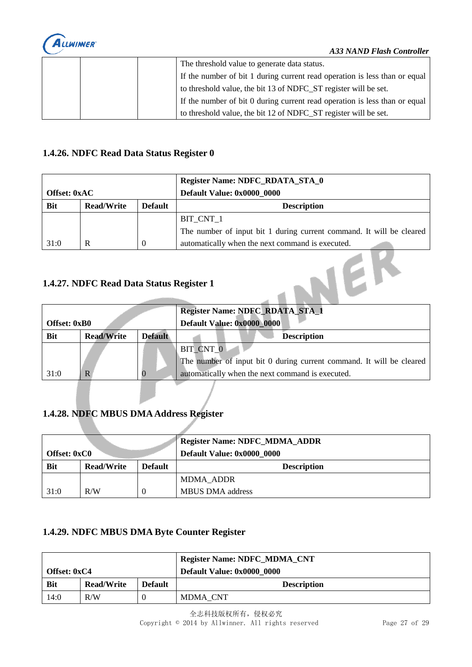

|  | The threshold value to generate data status.                               |
|--|----------------------------------------------------------------------------|
|  | If the number of bit 1 during current read operation is less than or equal |
|  | to threshold value, the bit 13 of NDFC_ST register will be set.            |
|  | If the number of bit 0 during current read operation is less than or equal |
|  | to threshold value, the bit 12 of NDFC ST register will be set.            |

#### <span id="page-26-0"></span>**1.4.26. NDFC Read Data Status Register 0**

|              |                   |                | <b>Register Name: NDFC_RDATA_STA_0</b>                               |
|--------------|-------------------|----------------|----------------------------------------------------------------------|
| Offset: 0xAC |                   |                | Default Value: 0x0000 0000                                           |
| <b>Bit</b>   | <b>Read/Write</b> | <b>Default</b> | <b>Description</b>                                                   |
|              |                   |                | BIT CNT 1                                                            |
|              |                   |                | The number of input bit 1 during current command. It will be cleared |
| 31:0         | R                 | $\theta$       | automatically when the next command is executed.                     |

#### <span id="page-26-1"></span>**1.4.27. NDFC Read Data Status Register 1**

|                     |                   |                | <b>Register Name: NDFC_RDATA_STA_1</b>                               |
|---------------------|-------------------|----------------|----------------------------------------------------------------------|
| <b>Offset: 0xB0</b> |                   |                | Default Value: 0x0000_0000                                           |
| <b>Bit</b>          | <b>Read/Write</b> | <b>Default</b> | <b>Description</b>                                                   |
|                     |                   |                | BIT CNT 0                                                            |
|                     |                   |                | The number of input bit 0 during current command. It will be cleared |
| 31:0                | R                 |                | automatically when the next command is executed.                     |

#### <span id="page-26-2"></span>**1.4.28. NDFC MBUS DMA Address Register**

| <b>Offset: 0xC0</b> |                   |                | <b>Register Name: NDFC_MDMA_ADDR</b><br>Default Value: 0x0000 0000 |
|---------------------|-------------------|----------------|--------------------------------------------------------------------|
| <b>Bit</b>          | <b>Read/Write</b> | <b>Default</b> | <b>Description</b>                                                 |
|                     |                   |                | MDMA ADDR                                                          |
| 31:0                | R/W               |                | <b>MBUS DMA</b> address                                            |

#### <span id="page-26-3"></span>**1.4.29. NDFC MBUS DMA Byte Counter Register**

|              |                   |                | <b>Register Name: NDFC_MDMA_CNT</b> |
|--------------|-------------------|----------------|-------------------------------------|
| Offset: 0xC4 |                   |                | Default Value: 0x0000 0000          |
| <b>Bit</b>   | <b>Read/Write</b> | <b>Default</b> | <b>Description</b>                  |
| 14:0         | R/W               |                | MDMA CNT                            |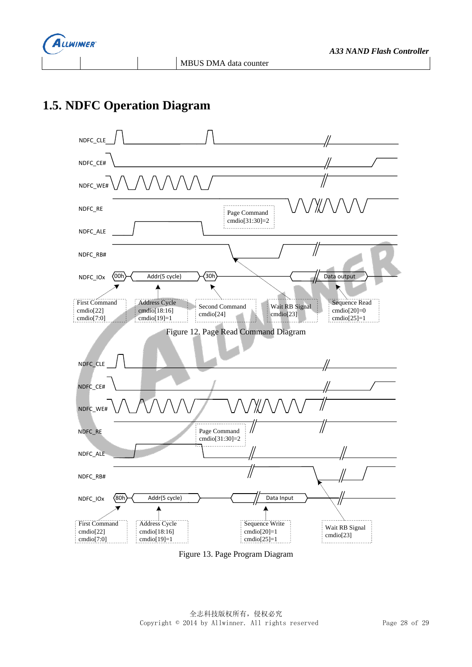

# <span id="page-27-0"></span>**1.5. NDFC Operation Diagram**



Figure 13. Page Program Diagram